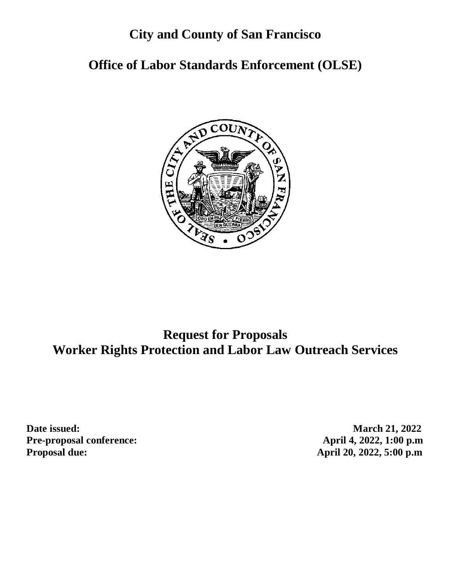# **City and County of San Francisco**

# **Office of Labor Standards Enforcement (OLSE)**



# **Request for Proposals Worker Rights Protection and Labor Law Outreach Services**

**Date issued:** March 21, 2022 **Pre-proposal conference: April 4, 2022, 1:00 p.m Proposal due: April 20, 2022, 5:00 p.m**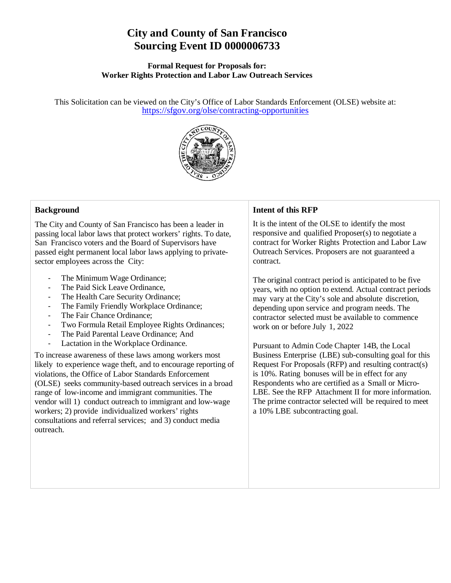# **City and County of San Francisco Sourcing Event ID 0000006733**

#### **Formal Request for Proposals for: Worker Rights Protection and Labor Law Outreach Services**

This Solicitation can be viewed on the City's Office of Labor Standards Enforcement (OLSE) website at: <https://sfgov.org/olse/contracting-opportunities>



#### **Background**

The City and County of San Francisco has been a leader in passing local labor laws that protect workers' rights. To date, San Francisco voters and the Board of Supervisors have passed eight permanent local labor laws applying to privatesector employees across the City:

- The Minimum Wage Ordinance;
- The Paid Sick Leave Ordinance,
- The Health Care Security Ordinance;
- The Family Friendly Workplace Ordinance;
- The Fair Chance Ordinance;
- Two Formula Retail Employee Rights Ordinances;
- The Paid Parental Leave Ordinance; And
- Lactation in the Workplace Ordinance.

To increase awareness of these laws among workers most likely to experience wage theft, and to encourage reporting of violations, the Office of Labor Standards Enforcement (OLSE) seeks community-based outreach services in a broad range of low-income and immigrant communities. The vendor will 1) conduct outreach to immigrant and low-wage workers; 2) provide individualized workers' rights consultations and referral services; and 3) conduct media outreach.

#### **Intent of this RFP**

It is the intent of the OLSE to identify the most responsive and qualified Proposer(s) to negotiate a contract for Worker Rights Protection and Labor Law Outreach Services. Proposers are not guaranteed a contract.

The original contract period is anticipated to be five years, with no option to extend. Actual contract periods may vary at the City's sole and absolute discretion, depending upon service and program needs. The contractor selected must be available to commence work on or before July 1, 2022

Pursuant to Admin Code Chapter 14B, the Local Business Enterprise (LBE) sub-consulting goal for this Request For Proposals (RFP) and resulting contract(s) is 10%. Rating bonuses will be in effect for any Respondents who are certified as a Small or Micro-LBE. See the RFP Attachment II for more information. The prime contractor selected will be required to meet a 10% LBE subcontracting goal.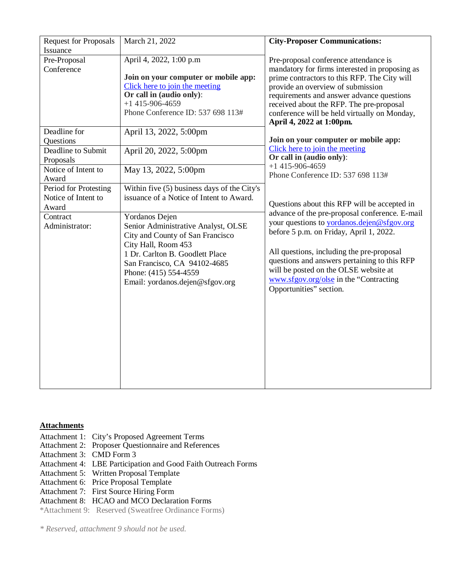| <b>Request for Proposals</b>                          | March 21, 2022                                                                                                                                                                          | <b>City-Proposer Communications:</b>                                                                                                                                                                                                                                                                                                              |
|-------------------------------------------------------|-----------------------------------------------------------------------------------------------------------------------------------------------------------------------------------------|---------------------------------------------------------------------------------------------------------------------------------------------------------------------------------------------------------------------------------------------------------------------------------------------------------------------------------------------------|
| Issuance<br>Pre-Proposal<br>Conference                | April 4, 2022, 1:00 p.m<br>Join on your computer or mobile app:<br>Click here to join the meeting<br>Or call in (audio only):<br>$+1$ 415-906-4659<br>Phone Conference ID: 537 698 113# | Pre-proposal conference attendance is<br>mandatory for firms interested in proposing as<br>prime contractors to this RFP. The City will<br>provide an overview of submission<br>requirements and answer advance questions<br>received about the RFP. The pre-proposal<br>conference will be held virtually on Monday,<br>April 4, 2022 at 1:00pm. |
| Deadline for                                          | April 13, 2022, 5:00pm                                                                                                                                                                  |                                                                                                                                                                                                                                                                                                                                                   |
| Questions<br>Deadline to Submit<br>Proposals          | April 20, 2022, 5:00pm                                                                                                                                                                  | Join on your computer or mobile app:<br>Click here to join the meeting<br>Or call in (audio only):                                                                                                                                                                                                                                                |
| Notice of Intent to<br>Award                          | May 13, 2022, 5:00pm                                                                                                                                                                    | $+1$ 415-906-4659<br>Phone Conference ID: 537 698 113#                                                                                                                                                                                                                                                                                            |
| Period for Protesting<br>Notice of Intent to<br>Award | Within five (5) business days of the City's<br>issuance of a Notice of Intent to Award.                                                                                                 | Questions about this RFP will be accepted in                                                                                                                                                                                                                                                                                                      |
| Contract<br>Administrator:                            | Yordanos Dejen<br>Senior Administrative Analyst, OLSE<br>City and County of San Francisco                                                                                               | advance of the pre-proposal conference. E-mail<br>your questions to yordanos.dejen@sfgov.org<br>before 5 p.m. on Friday, April 1, 2022.                                                                                                                                                                                                           |
|                                                       | City Hall, Room 453<br>1 Dr. Carlton B. Goodlett Place<br>San Francisco, CA 94102-4685<br>Phone: (415) 554-4559<br>Email: yordanos.dejen@sfgov.org                                      | All questions, including the pre-proposal<br>questions and answers pertaining to this RFP<br>will be posted on the OLSE website at<br>www.sfgov.org/olse in the "Contracting<br>Opportunities" section.                                                                                                                                           |
|                                                       |                                                                                                                                                                                         |                                                                                                                                                                                                                                                                                                                                                   |

#### **Attachments**

- Attachment 1: City's Proposed Agreement Terms
- Attachment 2: Proposer Questionnaire and References
- Attachment 3: CMD Form 3
- Attachment 4: LBE Participation and Good Faith Outreach Forms
- Attachment 5: Written Proposal Template
- Attachment 6: Price Proposal Template
- Attachment 7: First Source Hiring Form
- Attachment 8: HCAO and MCO Declaration Forms

\*Attachment 9: Reserved (Sweatfree Ordinance Forms)

*\* Reserved, attachment 9 should not be used.*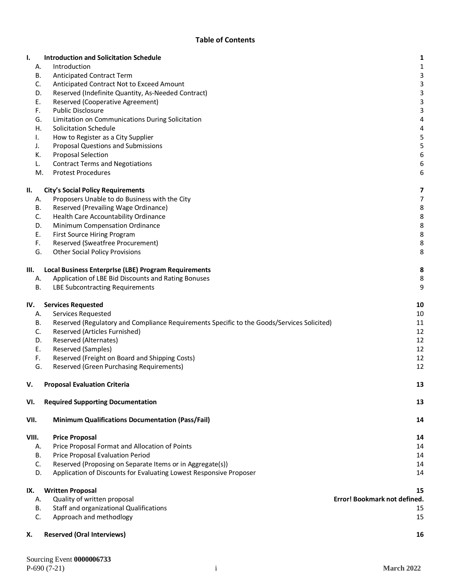#### **Table of Contents**

| ı.    |    | <b>Introduction and Solicitation Schedule</b>                                              | 1                            |
|-------|----|--------------------------------------------------------------------------------------------|------------------------------|
| Α.    |    | Introduction                                                                               | 1                            |
|       | В. | Anticipated Contract Term                                                                  | 3                            |
| C.    |    | Anticipated Contract Not to Exceed Amount                                                  | 3                            |
|       | D. | Reserved (Indefinite Quantity, As-Needed Contract)                                         | 3                            |
| Ε.    |    | Reserved (Cooperative Agreement)                                                           | 3                            |
| F.    |    | <b>Public Disclosure</b>                                                                   | 3                            |
|       | G. | Limitation on Communications During Solicitation                                           | 4                            |
|       | Η. | Solicitation Schedule                                                                      | 4                            |
| I.    |    | How to Register as a City Supplier                                                         | 5                            |
| J.    |    | <b>Proposal Questions and Submissions</b>                                                  | 5                            |
| К.    |    | <b>Proposal Selection</b>                                                                  | 6                            |
| L.    |    | <b>Contract Terms and Negotiations</b>                                                     | 6                            |
|       | M. | <b>Protest Procedures</b>                                                                  | 6                            |
| Ш.    |    | <b>City's Social Policy Requirements</b>                                                   | 7                            |
| Α.    |    | Proposers Unable to do Business with the City                                              | 7                            |
|       | В. | Reserved (Prevailing Wage Ordinance)                                                       | 8                            |
| C.    |    | Health Care Accountability Ordinance                                                       | 8                            |
|       | D. | Minimum Compensation Ordinance                                                             | 8                            |
| Ε.    |    | First Source Hiring Program                                                                | 8                            |
| F.    |    | Reserved (Sweatfree Procurement)                                                           | 8                            |
|       | G. | <b>Other Social Policy Provisions</b>                                                      | 8                            |
| Ш.    |    | Local Business Enterprise (LBE) Program Requirements                                       | 8                            |
| А.    |    | Application of LBE Bid Discounts and Rating Bonuses                                        | 8                            |
| В.    |    | <b>LBE Subcontracting Requirements</b>                                                     | 9                            |
|       |    |                                                                                            |                              |
| IV.   |    | <b>Services Requested</b>                                                                  | 10                           |
|       | А. | <b>Services Requested</b>                                                                  | 10                           |
|       | В. | Reserved (Regulatory and Compliance Requirements Specific to the Goods/Services Solicited) | 11                           |
| C.    |    | Reserved (Articles Furnished)                                                              | 12                           |
|       | D. | Reserved (Alternates)                                                                      | 12                           |
|       | Ε. | Reserved (Samples)                                                                         | 12                           |
| F.    |    | Reserved (Freight on Board and Shipping Costs)                                             | 12                           |
|       | G. | <b>Reserved (Green Purchasing Requirements)</b>                                            | 12                           |
| v.    |    | <b>Proposal Evaluation Criteria</b>                                                        | 13                           |
| VI.   |    | <b>Required Supporting Documentation</b>                                                   | 13                           |
| VII.  |    | <b>Minimum Qualifications Documentation (Pass/Fail)</b>                                    | 14                           |
| VIII. |    | <b>Price Proposal</b>                                                                      | 14                           |
|       | Α. | Price Proposal Format and Allocation of Points                                             | 14                           |
|       | В. | Price Proposal Evaluation Period                                                           | 14                           |
|       | C. | Reserved (Proposing on Separate Items or in Aggregate(s))                                  | 14                           |
|       | D. | Application of Discounts for Evaluating Lowest Responsive Proposer                         | 14                           |
|       |    |                                                                                            |                              |
| IX.   |    | <b>Written Proposal</b>                                                                    | 15                           |
| Α.    |    | Quality of written proposal                                                                | Error! Bookmark not defined. |
|       | В. | Staff and organizational Qualifications                                                    | 15                           |
| C.    |    | Approach and methodlogy                                                                    | 15                           |
| х.    |    | <b>Reserved (Oral Interviews)</b>                                                          | 16                           |
|       |    |                                                                                            |                              |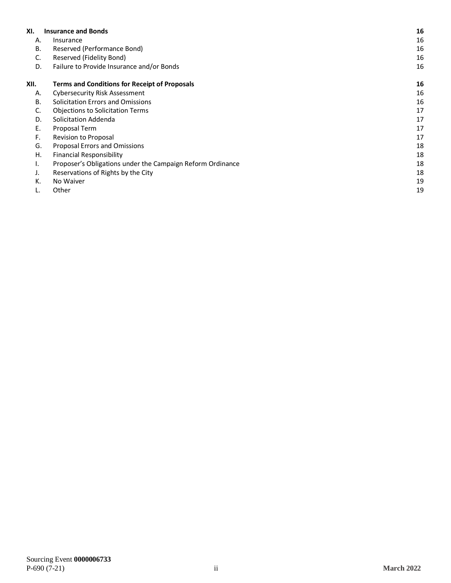| XI.  | <b>Insurance and Bonds</b>                                 | 16 |
|------|------------------------------------------------------------|----|
| А.   | Insurance                                                  | 16 |
| В.   | Reserved (Performance Bond)                                | 16 |
| C.   | Reserved (Fidelity Bond)                                   | 16 |
| D.   | Failure to Provide Insurance and/or Bonds                  | 16 |
| XII. | <b>Terms and Conditions for Receipt of Proposals</b>       | 16 |
| Α.   | Cybersecurity Risk Assessment                              | 16 |
| В.   | <b>Solicitation Errors and Omissions</b>                   | 16 |
| C.   | <b>Objections to Solicitation Terms</b>                    | 17 |
| D.   | Solicitation Addenda                                       | 17 |
| Ε.   | Proposal Term                                              | 17 |
| F.   | Revision to Proposal                                       | 17 |
| G.   | <b>Proposal Errors and Omissions</b>                       | 18 |
| Η.   | <b>Financial Responsibility</b>                            | 18 |
| ι.   | Proposer's Obligations under the Campaign Reform Ordinance | 18 |
| J.   | Reservations of Rights by the City                         | 18 |
| К.   | No Waiver                                                  | 19 |
|      | Other                                                      | 19 |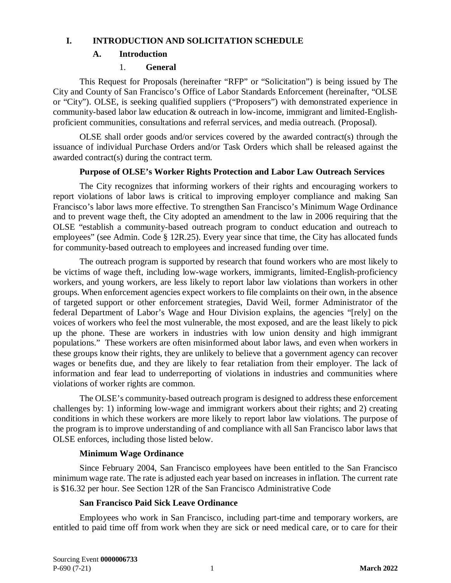### <span id="page-5-1"></span><span id="page-5-0"></span>**I. INTRODUCTION AND SOLICITATION SCHEDULE**

# **A. Introduction**

# 1. **General**

This Request for Proposals (hereinafter "RFP" or "Solicitation") is being issued by The City and County of San Francisco's Office of Labor Standards Enforcement (hereinafter, "OLSE or "City"). OLSE, is seeking qualified suppliers ("Proposers") with demonstrated experience in community-based labor law education & outreach in low-income, immigrant and limited-Englishproficient communities, consultations and referral services, and media outreach. (Proposal).

OLSE shall order goods and/or services covered by the awarded contract(s) through the issuance of individual Purchase Orders and/or Task Orders which shall be released against the awarded contract(s) during the contract term.

### **Purpose of OLSE's Worker Rights Protection and Labor Law Outreach Services**

The City recognizes that informing workers of their rights and encouraging workers to report violations of labor laws is critical to improving employer compliance and making San Francisco's labor laws more effective. To strengthen San Francisco's Minimum Wage Ordinance and to prevent wage theft, the City adopted an amendment to the law in 2006 requiring that the OLSE "establish a community-based outreach program to conduct education and outreach to employees" (see Admin. Code § 12R.25). Every year since that time, the City has allocated funds for community-based outreach to employees and increased funding over time.

The outreach program is supported by research that found workers who are most likely to be victims of wage theft, including low-wage workers, immigrants, limited-English-proficiency workers, and young workers, are less likely to report labor law violations than workers in other groups. When enforcement agencies expect workers to file complaints on their own, in the absence of targeted support or other enforcement strategies, David Weil, former Administrator of the federal Department of Labor's Wage and Hour Division explains, the agencies "[rely] on the voices of workers who feel the most vulnerable, the most exposed, and are the least likely to pick up the phone. These are workers in industries with low union density and high immigrant populations." These workers are often misinformed about labor laws, and even when workers in these groups know their rights, they are unlikely to believe that a government agency can recover wages or benefits due, and they are likely to fear retaliation from their employer. The lack of information and fear lead to underreporting of violations in industries and communities where violations of worker rights are common.

The OLSE's community-based outreach program is designed to address these enforcement challenges by: 1) informing low-wage and immigrant workers about their rights; and 2) creating conditions in which these workers are more likely to report labor law violations. The purpose of the program is to improve understanding of and compliance with all San Francisco labor laws that OLSE enforces, including those listed below.

# **Minimum Wage Ordinance**

Since February 2004, San Francisco employees have been entitled to the San Francisco minimum wage rate. The rate is adjusted each year based on increases in inflation. The current rate is \$16.32 per hour. See Section 12R of the San Francisco Administrative Code

# **San Francisco Paid Sick Leave Ordinance**

Employees who work in San Francisco, including part-time and temporary workers, are entitled to paid time off from work when they are sick or need medical care, or to care for their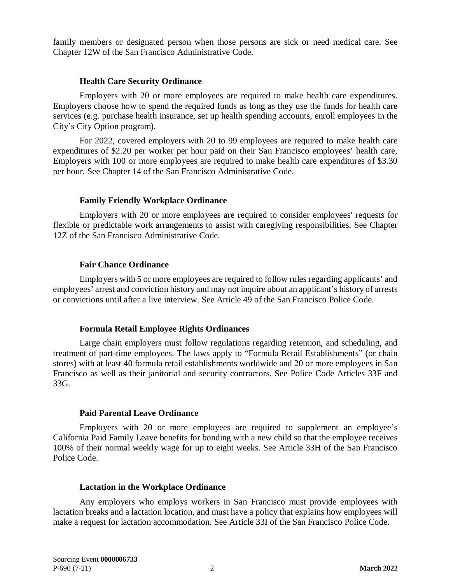family members or designated person when those persons are sick or need medical care. See Chapter 12W of the San Francisco Administrative Code.

#### **Health Care Security Ordinance**

Employers with 20 or more employees are required to make health care expenditures. Employers choose how to spend the required funds as long as they use the funds for health care services (e.g. purchase health insurance, set up health spending accounts, enroll employees in the City's City Option program).

For 2022, covered employers with 20 to 99 employees are required to make health care expenditures of \$2.20 per worker per hour paid on their San Francisco employees' health care, Employers with 100 or more employees are required to make health care expenditures of \$3.30 per hour. See Chapter 14 of the San Francisco Administrative Code.

#### **Family Friendly Workplace Ordinance**

Employers with 20 or more employees are required to consider employees' requests for flexible or predictable work arrangements to assist with caregiving responsibilities. See Chapter 12Z of the San Francisco Administrative Code.

#### **Fair Chance Ordinance**

Employers with 5 or more employees are required to follow rules regarding applicants' and employees' arrest and conviction history and may not inquire about an applicant's history of arrests or convictions until after a live interview. See Article 49 of the San Francisco Police Code.

#### **Formula Retail Employee Rights Ordinances**

Large chain employers must follow regulations regarding retention, and scheduling, and treatment of part-time employees. The laws apply to "Formula Retail Establishments" (or chain stores) with at least 40 formula retail establishments worldwide and 20 or more employees in San Francisco as well as their janitorial and security contractors. See Police Code Articles 33F and 33G.

#### **Paid Parental Leave Ordinance**

Employers with 20 or more employees are required to supplement an employee's California Paid Family Leave benefits for bonding with a new child so that the employee receives 100% of their normal weekly wage for up to eight weeks. See Article 33H of the San Francisco Police Code.

#### **Lactation in the Workplace Ordinance**

Any employers who employs workers in San Francisco must provide employees with lactation breaks and a lactation location, and must have a policy that explains how employees will make a request for lactation accommodation. See Article 33I of the San Francisco Police Code.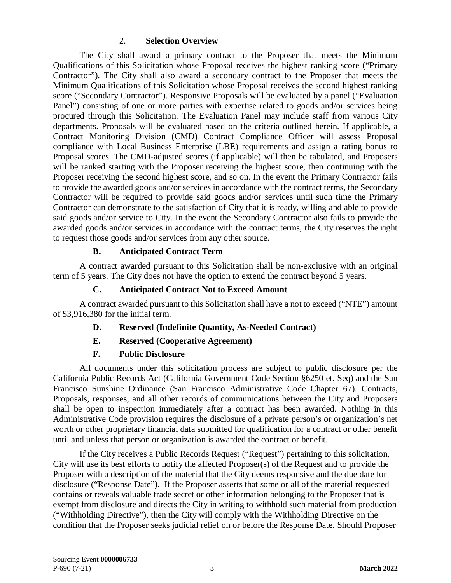#### 2. **Selection Overview**

The City shall award a primary contract to the Proposer that meets the Minimum Qualifications of this Solicitation whose Proposal receives the highest ranking score ("Primary Contractor"). The City shall also award a secondary contract to the Proposer that meets the Minimum Qualifications of this Solicitation whose Proposal receives the second highest ranking score ("Secondary Contractor"). Responsive Proposals will be evaluated by a panel ("Evaluation Panel") consisting of one or more parties with expertise related to goods and/or services being procured through this Solicitation. The Evaluation Panel may include staff from various City departments. Proposals will be evaluated based on the criteria outlined herein. If applicable, a Contract Monitoring Division (CMD) Contract Compliance Officer will assess Proposal compliance with Local Business Enterprise (LBE) requirements and assign a rating bonus to Proposal scores. The CMD-adjusted scores (if applicable) will then be tabulated, and Proposers will be ranked starting with the Proposer receiving the highest score, then continuing with the Proposer receiving the second highest score, and so on. In the event the Primary Contractor fails to provide the awarded goods and/or services in accordance with the contract terms, the Secondary Contractor will be required to provide said goods and/or services until such time the Primary Contractor can demonstrate to the satisfaction of City that it is ready, willing and able to provide said goods and/or service to City. In the event the Secondary Contractor also fails to provide the awarded goods and/or services in accordance with the contract terms, the City reserves the right to request those goods and/or services from any other source.

#### **B. Anticipated Contract Term**

<span id="page-7-0"></span>A contract awarded pursuant to this Solicitation shall be non-exclusive with an original term of 5 years. The City does not have the option to extend the contract beyond 5 years.

#### **C. Anticipated Contract Not to Exceed Amount**

<span id="page-7-2"></span><span id="page-7-1"></span>A contract awarded pursuant to this Solicitation shall have a not to exceed ("NTE") amount of \$3,916,380 for the initial term.

- **D. Reserved (Indefinite Quantity, As-Needed Contract)**
- **E. Reserved (Cooperative Agreement)**

#### **F. Public Disclosure**

<span id="page-7-4"></span><span id="page-7-3"></span>All documents under this solicitation process are subject to public disclosure per the California Public Records Act (California Government Code Section §6250 et. Seq) and the San Francisco Sunshine Ordinance (San Francisco Administrative Code Chapter 67). Contracts, Proposals, responses, and all other records of communications between the City and Proposers shall be open to inspection immediately after a contract has been awarded. Nothing in this Administrative Code provision requires the disclosure of a private person's or organization's net worth or other proprietary financial data submitted for qualification for a contract or other benefit until and unless that person or organization is awarded the contract or benefit.

If the City receives a Public Records Request ("Request") pertaining to this solicitation, City will use its best efforts to notify the affected Proposer(s) of the Request and to provide the Proposer with a description of the material that the City deems responsive and the due date for disclosure ("Response Date"). If the Proposer asserts that some or all of the material requested contains or reveals valuable trade secret or other information belonging to the Proposer that is exempt from disclosure and directs the City in writing to withhold such material from production ("Withholding Directive"), then the City will comply with the Withholding Directive on the condition that the Proposer seeks judicial relief on or before the Response Date. Should Proposer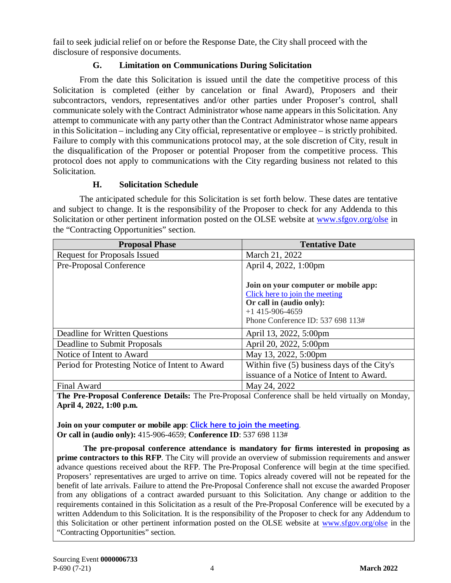fail to seek judicial relief on or before the Response Date, the City shall proceed with the disclosure of responsive documents.

### **G. Limitation on Communications During Solicitation**

<span id="page-8-0"></span>From the date this Solicitation is issued until the date the competitive process of this Solicitation is completed (either by cancelation or final Award), Proposers and their subcontractors, vendors, representatives and/or other parties under Proposer's control, shall communicate solely with the Contract Administrator whose name appears in this Solicitation. Any attempt to communicate with any party other than the Contract Administrator whose name appears in this Solicitation – including any City official, representative or employee – is strictly prohibited. Failure to comply with this communications protocol may, at the sole discretion of City, result in the disqualification of the Proposer or potential Proposer from the competitive process. This protocol does not apply to communications with the City regarding business not related to this Solicitation.

#### **H. Solicitation Schedule**

<span id="page-8-1"></span>The anticipated schedule for this Solicitation is set forth below. These dates are tentative and subject to change. It is the responsibility of the Proposer to check for any Addenda to this Solicitation or other pertinent information posted on the OLSE website at [www.sfgov.org/olse](http://www.sfgov.org/olse) in the "Contracting Opportunities" section.

| <b>Proposal Phase</b>                           | <b>Tentative Date</b>                       |
|-------------------------------------------------|---------------------------------------------|
| <b>Request for Proposals Issued</b>             | March 21, 2022                              |
| Pre-Proposal Conference                         | April 4, 2022, 1:00pm                       |
|                                                 |                                             |
|                                                 | Join on your computer or mobile app:        |
|                                                 | Click here to join the meeting              |
|                                                 | Or call in (audio only):                    |
|                                                 | $+1$ 415-906-4659                           |
|                                                 | Phone Conference ID: 537 698 113#           |
| Deadline for Written Questions                  | April 13, 2022, 5:00pm                      |
| Deadline to Submit Proposals                    | April 20, 2022, 5:00pm                      |
| Notice of Intent to Award                       | May 13, 2022, 5:00pm                        |
| Period for Protesting Notice of Intent to Award | Within five (5) business days of the City's |
|                                                 | issuance of a Notice of Intent to Award.    |
| Final Award                                     | May 24, 2022                                |

**The Pre-Proposal Conference Details:** The Pre-Proposal Conference shall be held virtually on Monday, **April 4, 2022, 1:00 p.m.**

**Join on your computer or mobile app**: **[Click here to join the meeting](https://teams.microsoft.com/l/meetup-join/19%3ameeting_N2VmMDgwNzctMjRkMi00ODAzLWJjMjUtY2I2YzYxNDljNGNm%40thread.v2/0?context=%7b%22Tid%22%3a%2222d5c2cf-ce3e-443d-9a7f-dfcc0231f73f%22%2c%22Oid%22%3a%22f70eca5c-8e8f-4450-b2bd-686b338df3c1%22%7d)**. **Or call in (audio only):** 415-906-4659; **Conference ID**: 537 698 113#

**The pre-proposal conference attendance is mandatory for firms interested in proposing as prime contractors to this RFP**. The City will provide an overview of submission requirements and answer advance questions received about the RFP. The Pre-Proposal Conference will begin at the time specified. Proposers' representatives are urged to arrive on time. Topics already covered will not be repeated for the benefit of late arrivals. Failure to attend the Pre-Proposal Conference shall not excuse the awarded Proposer from any obligations of a contract awarded pursuant to this Solicitation. Any change or addition to the requirements contained in this Solicitation as a result of the Pre-Proposal Conference will be executed by a written Addendum to this Solicitation. It is the responsibility of the Proposer to check for any Addendum to this Solicitation or other pertinent information posted on the OLSE website at [www.sfgov.org/olse](http://www.sfgov.org/olse) in the "Contracting Opportunities" section.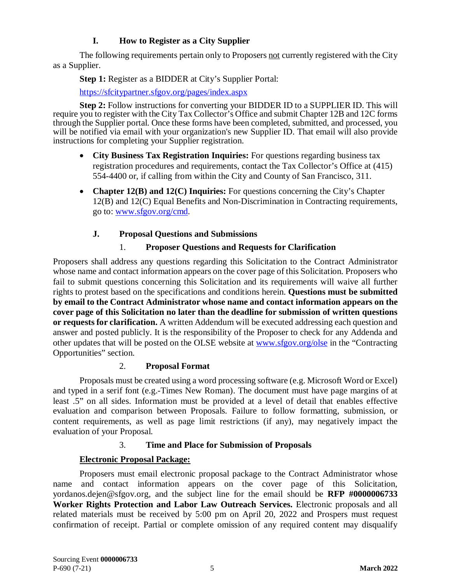# **I. How to Register as a City Supplier**

<span id="page-9-0"></span>The following requirements pertain only to Proposers not currently registered with the City as a Supplier.

**Step 1:** Register as a BIDDER at City's Supplier Portal:

<https://sfcitypartner.sfgov.org/pages/index.aspx>

**Step 2:** Follow instructions for converting your BIDDER ID to a SUPPLIER ID. This will require you to register with the City Tax Collector's Office and submit Chapter 12B and 12C forms through the Supplier portal. Once these forms have been completed, submitted, and processed, you will be notified via email with your organization's new Supplier ID. That email will also provide instructions for completing your Supplier registration.

- **City Business Tax Registration Inquiries:** For questions regarding business tax registration procedures and requirements, contact the Tax Collector's Office at (415) 554-4400 or, if calling from within the City and County of San Francisco, 311.
- **Chapter 12(B) and 12(C) Inquiries:** For questions concerning the City's Chapter 12(B) and 12(C) Equal Benefits and Non-Discrimination in Contracting requirements, go to: [www.sfgov.org/cmd.](http://www.sfgov.org/cmd)

# **J. Proposal Questions and Submissions**

# 1. **Proposer Questions and Requests for Clarification**

<span id="page-9-1"></span>Proposers shall address any questions regarding this Solicitation to the Contract Administrator whose name and contact information appears on the cover page of this Solicitation. Proposers who fail to submit questions concerning this Solicitation and its requirements will waive all further rights to protest based on the specifications and conditions herein. **Questions must be submitted by email to the Contract Administrator whose name and contact information appears on the cover page of this Solicitation no later than the deadline for submission of written questions or requests for clarification.** A written Addendum will be executed addressing each question and answer and posted publicly. It is the responsibility of the Proposer to check for any Addenda and other updates that will be posted on the OLSE website at [www.sfgov.org/olse](http://www.sfgov.org/olse) in the "Contracting Opportunities" section.

# 2. **Proposal Format**

Proposals must be created using a word processing software (e.g. Microsoft Word or Excel) and typed in a serif font (e.g.-Times New Roman). The document must have page margins of at least .5" on all sides. Information must be provided at a level of detail that enables effective evaluation and comparison between Proposals. Failure to follow formatting, submission, or content requirements, as well as page limit restrictions (if any), may negatively impact the evaluation of your Proposal.

# 3. **Time and Place for Submission of Proposals**

# **Electronic Proposal Package:**

Proposers must email electronic proposal package to the Contract Administrator whose name and contact information appears on the cover page of this Solicitation, yordanos.dejen@sfgov.org, and the subject line for the email should be **RFP #0000006733 Worker Rights Protection and Labor Law Outreach Services.** Electronic proposals and all related materials must be received by 5:00 pm on April 20, 2022 and Prospers must request confirmation of receipt. Partial or complete omission of any required content may disqualify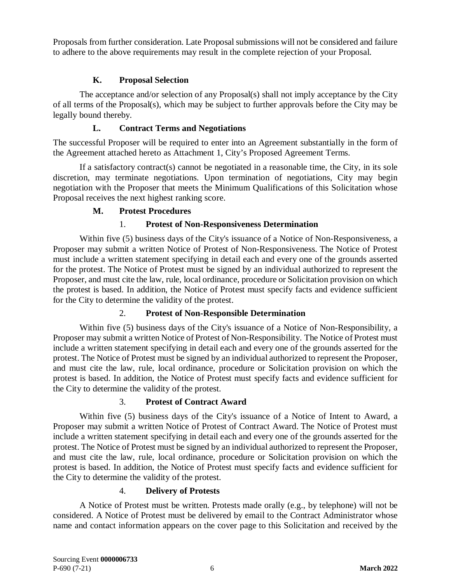Proposals from further consideration. Late Proposal submissions will not be considered and failure to adhere to the above requirements may result in the complete rejection of your Proposal.

### **K. Proposal Selection**

<span id="page-10-0"></span>The acceptance and/or selection of any Proposal(s) shall not imply acceptance by the City of all terms of the Proposal(s), which may be subject to further approvals before the City may be legally bound thereby.

### **L. Contract Terms and Negotiations**

<span id="page-10-1"></span>The successful Proposer will be required to enter into an Agreement substantially in the form of the Agreement attached hereto as Attachment 1, City's Proposed Agreement Terms.

If a satisfactory contract(s) cannot be negotiated in a reasonable time, the City, in its sole discretion, may terminate negotiations. Upon termination of negotiations, City may begin negotiation with the Proposer that meets the Minimum Qualifications of this Solicitation whose Proposal receives the next highest ranking score.

#### **M. Protest Procedures**

#### 1. **Protest of Non-Responsiveness Determination**

<span id="page-10-2"></span>Within five (5) business days of the City's issuance of a Notice of Non-Responsiveness, a Proposer may submit a written Notice of Protest of Non-Responsiveness. The Notice of Protest must include a written statement specifying in detail each and every one of the grounds asserted for the protest. The Notice of Protest must be signed by an individual authorized to represent the Proposer, and must cite the law, rule, local ordinance, procedure or Solicitation provision on which the protest is based. In addition, the Notice of Protest must specify facts and evidence sufficient for the City to determine the validity of the protest.

#### 2. **Protest of Non-Responsible Determination**

Within five (5) business days of the City's issuance of a Notice of Non-Responsibility, a Proposer may submit a written Notice of Protest of Non-Responsibility. The Notice of Protest must include a written statement specifying in detail each and every one of the grounds asserted for the protest. The Notice of Protest must be signed by an individual authorized to represent the Proposer, and must cite the law, rule, local ordinance, procedure or Solicitation provision on which the protest is based. In addition, the Notice of Protest must specify facts and evidence sufficient for the City to determine the validity of the protest.

#### 3. **Protest of Contract Award**

Within five (5) business days of the City's issuance of a Notice of Intent to Award, a Proposer may submit a written Notice of Protest of Contract Award. The Notice of Protest must include a written statement specifying in detail each and every one of the grounds asserted for the protest. The Notice of Protest must be signed by an individual authorized to represent the Proposer, and must cite the law, rule, local ordinance, procedure or Solicitation provision on which the protest is based. In addition, the Notice of Protest must specify facts and evidence sufficient for the City to determine the validity of the protest.

#### 4. **Delivery of Protests**

A Notice of Protest must be written. Protests made orally (e.g., by telephone) will not be considered. A Notice of Protest must be delivered by email to the Contract Administrator whose name and contact information appears on the cover page to this Solicitation and received by the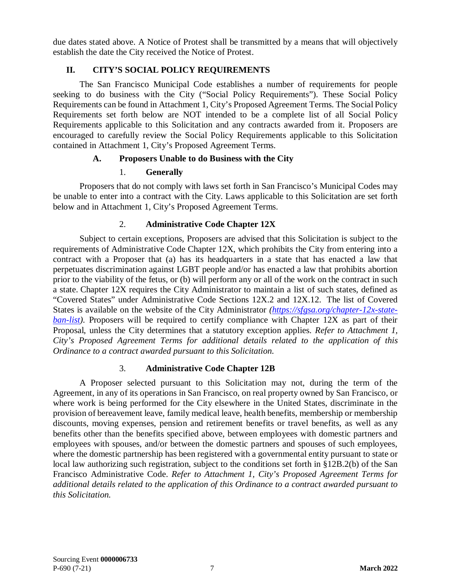due dates stated above. A Notice of Protest shall be transmitted by a means that will objectively establish the date the City received the Notice of Protest.

### **II. CITY'S SOCIAL POLICY REQUIREMENTS**

<span id="page-11-0"></span>The San Francisco Municipal Code establishes a number of requirements for people seeking to do business with the City ("Social Policy Requirements"). These Social Policy Requirements can be found in Attachment 1, City's Proposed Agreement Terms. The Social Policy Requirements set forth below are NOT intended to be a complete list of all Social Policy Requirements applicable to this Solicitation and any contracts awarded from it. Proposers are encouraged to carefully review the Social Policy Requirements applicable to this Solicitation contained in Attachment 1, City's Proposed Agreement Terms.

### **A. Proposers Unable to do Business with the City**

### 1. **Generally**

<span id="page-11-1"></span>Proposers that do not comply with laws set forth in San Francisco's Municipal Codes may be unable to enter into a contract with the City. Laws applicable to this Solicitation are set forth below and in Attachment 1, City's Proposed Agreement Terms.

### 2. **Administrative Code Chapter 12X**

Subject to certain exceptions, Proposers are advised that this Solicitation is subject to the requirements of Administrative Code Chapter 12X, which prohibits the City from entering into a contract with a Proposer that (a) has its headquarters in a state that has enacted a law that perpetuates discrimination against LGBT people and/or has enacted a law that prohibits abortion prior to the viability of the fetus, or (b) will perform any or all of the work on the contract in such a state. Chapter 12X requires the City Administrator to maintain a list of such states, defined as "Covered States" under Administrative Code Sections 12X.2 and 12X.12. The list of Covered States is available on the website of the City Administrator *[\(https://sfgsa.org/chapter-12x-state](https://sfgsa.org/chapter-12x-state-ban-list)ban-list*). Proposers will be required to certify compliance with Chapter 12X as part of their Proposal, unless the City determines that a statutory exception applies. *Refer to Attachment 1, City's Proposed Agreement Terms for additional details related to the application of this Ordinance to a contract awarded pursuant to this Solicitation.*

#### 3. **Administrative Code Chapter 12B**

A Proposer selected pursuant to this Solicitation may not, during the term of the Agreement, in any of its operations in San Francisco, on real property owned by San Francisco, or where work is being performed for the City elsewhere in the United States, discriminate in the provision of bereavement leave, family medical leave, health benefits, membership or membership discounts, moving expenses, pension and retirement benefits or travel benefits, as well as any benefits other than the benefits specified above, between employees with domestic partners and employees with spouses, and/or between the domestic partners and spouses of such employees, where the domestic partnership has been registered with a governmental entity pursuant to state or local law authorizing such registration, subject to the conditions set forth in §12B.2(b) of the San Francisco Administrative Code. *Refer to Attachment 1, City's Proposed Agreement Terms for additional details related to the application of this Ordinance to a contract awarded pursuant to this Solicitation.*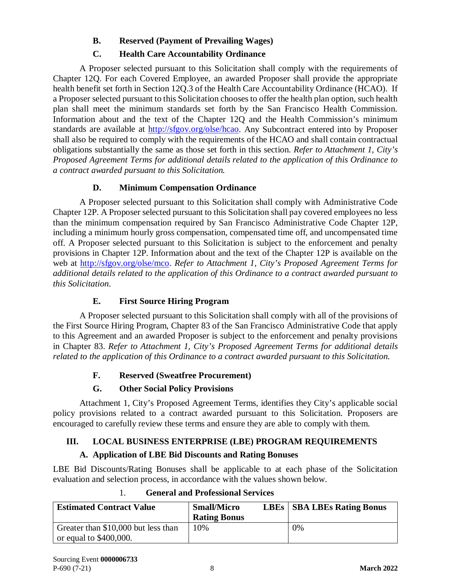# **B. Reserved (Payment of Prevailing Wages)**

# **C. Health Care Accountability Ordinance**

<span id="page-12-0"></span>A Proposer selected pursuant to this Solicitation shall comply with the requirements of Chapter 12Q. For each Covered Employee, an awarded Proposer shall provide the appropriate health benefit set forth in Section 12Q.3 of the Health Care Accountability Ordinance (HCAO). If a Proposer selected pursuant to this Solicitation chooses to offer the health plan option, such health plan shall meet the minimum standards set forth by the San Francisco Health Commission. Information about and the text of the Chapter 12Q and the Health Commission's minimum standards are available at [http://sfgov.org/olse/hcao.](http://sfgov.org/olse/hcao) Any Subcontract entered into by Proposer shall also be required to comply with the requirements of the HCAO and shall contain contractual obligations substantially the same as those set forth in this section. *Refer to Attachment 1, City's Proposed Agreement Terms for additional details related to the application of this Ordinance to a contract awarded pursuant to this Solicitation.*

# **D. Minimum Compensation Ordinance**

<span id="page-12-1"></span>A Proposer selected pursuant to this Solicitation shall comply with Administrative Code Chapter 12P. A Proposer selected pursuant to this Solicitation shall pay covered employees no less than the minimum compensation required by San Francisco Administrative Code Chapter 12P, including a minimum hourly gross compensation, compensated time off, and uncompensated time off. A Proposer selected pursuant to this Solicitation is subject to the enforcement and penalty provisions in Chapter 12P. Information about and the text of the Chapter 12P is available on the web at [http://sfgov.org/olse/mco.](http://sfgov.org/olse/mco) *Refer to Attachment 1, City's Proposed Agreement Terms for additional details related to the application of this Ordinance to a contract awarded pursuant to this Solicitation.*

# **E. First Source Hiring Program**

<span id="page-12-2"></span>A Proposer selected pursuant to this Solicitation shall comply with all of the provisions of the First Source Hiring Program, Chapter 83 of the San Francisco Administrative Code that apply to this Agreement and an awarded Proposer is subject to the enforcement and penalty provisions in Chapter 83. *Refer to Attachment 1, City's Proposed Agreement Terms for additional details related to the application of this Ordinance to a contract awarded pursuant to this Solicitation.*

# **F. Reserved (Sweatfree Procurement)**

# **G. Other Social Policy Provisions**

<span id="page-12-4"></span><span id="page-12-3"></span>Attachment 1, City's Proposed Agreement Terms, identifies they City's applicable social policy provisions related to a contract awarded pursuant to this Solicitation. Proposers are encouraged to carefully review these terms and ensure they are able to comply with them.

# <span id="page-12-5"></span>**III. LOCAL BUSINESS ENTERPRISE (LBE) PROGRAM REQUIREMENTS**

# **A. Application of LBE Bid Discounts and Rating Bonuses**

<span id="page-12-6"></span>LBE Bid Discounts/Rating Bonuses shall be applicable to at each phase of the Solicitation evaluation and selection process, in accordance with the values shown below.

| <b>Estimated Contract Value</b>                                        | <b>Small/Micro</b><br><b>Rating Bonus</b> | <b>LBEs</b>   <b>SBA LBEs Rating Bonus</b> |
|------------------------------------------------------------------------|-------------------------------------------|--------------------------------------------|
| Greater than \$10,000 but less than<br>$\sigma$ or equal to \$400,000. | 10%                                       | 0%                                         |

# 1. **General and Professional Services**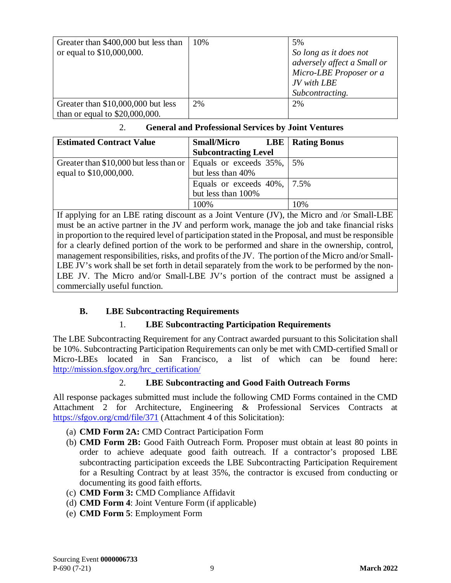| Greater than \$400,000 but less than<br>or equal to \$10,000,000.      | 10% | 5%<br>So long as it does not<br>adversely affect a Small or<br>Micro-LBE Proposer or a<br>JV with LBE<br>Subcontracting. |
|------------------------------------------------------------------------|-----|--------------------------------------------------------------------------------------------------------------------------|
| Greater than \$10,000,000 but less<br>than or equal to $$20,000,000$ . | 2%  | 2%                                                                                                                       |

#### 2. **General and Professional Services by Joint Ventures**

| <b>Estimated Contract Value</b>                                      | <b>Small/Micro</b>              | <b>LBE</b>   Rating Bonus |
|----------------------------------------------------------------------|---------------------------------|---------------------------|
|                                                                      | <b>Subcontracting Level</b>     |                           |
| Greater than \$10,000 but less than or   Equals or exceeds 35%,   5% |                                 |                           |
| equal to \$10,000,000.                                               | but less than 40%               |                           |
|                                                                      | Equals or exceeds $40\%$ , 7.5% |                           |
|                                                                      | but less than 100%              |                           |
|                                                                      | 100%                            | 10%                       |

If applying for an LBE rating discount as a Joint Venture (JV), the Micro and /or Small-LBE must be an active partner in the JV and perform work, manage the job and take financial risks in proportion to the required level of participation stated in the Proposal, and must be responsible for a clearly defined portion of the work to be performed and share in the ownership, control, management responsibilities, risks, and profits of the JV. The portion of the Micro and/or Small-LBE JV's work shall be set forth in detail separately from the work to be performed by the non-LBE JV. The Micro and/or Small-LBE JV's portion of the contract must be assigned a commercially useful function.

# <span id="page-13-0"></span>**B. LBE Subcontracting Requirements**

# 1. **LBE Subcontracting Participation Requirements**

The LBE Subcontracting Requirement for any Contract awarded pursuant to this Solicitation shall be 10%. Subcontracting Participation Requirements can only be met with CMD-certified Small or Micro-LBEs located in San Francisco, a list of which can be found here: [http://mission.sfgov.org/hrc\\_certification/](http://mission.sfgov.org/hrc_certification/)

# 2. **LBE Subcontracting and Good Faith Outreach Forms**

All response packages submitted must include the following CMD Forms contained in the CMD Attachment 2 for Architecture, Engineering & Professional Services Contracts at <https://sfgov.org/cmd/file/371> (Attachment 4 of this Solicitation):

- (a) **CMD Form 2A:** CMD Contract Participation Form
- (b) **CMD Form 2B:** Good Faith Outreach Form. Proposer must obtain at least 80 points in order to achieve adequate good faith outreach. If a contractor's proposed LBE subcontracting participation exceeds the LBE Subcontracting Participation Requirement for a Resulting Contract by at least 35%, the contractor is excused from conducting or documenting its good faith efforts.
- (c) **CMD Form 3:** CMD Compliance Affidavit
- (d) **CMD Form 4**: Joint Venture Form (if applicable)
- (e) **CMD Form 5**: Employment Form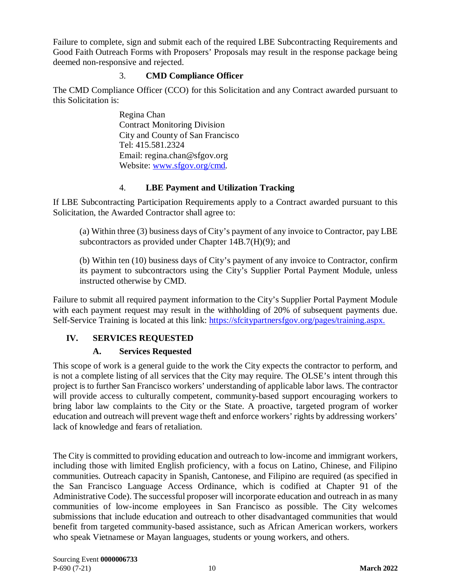Failure to complete, sign and submit each of the required LBE Subcontracting Requirements and Good Faith Outreach Forms with Proposers' Proposals may result in the response package being deemed non-responsive and rejected.

### 3. **CMD Compliance Officer**

The CMD Compliance Officer (CCO) for this Solicitation and any Contract awarded pursuant to this Solicitation is:

> Regina Chan Contract Monitoring Division City and County of San Francisco Tel: 415.581.2324 Email: regina.chan@sfgov.org Website: [www.sfgov.org/cmd](http://www.sfgov.org/cmd)*.*

# 4. **LBE Payment and Utilization Tracking**

If LBE Subcontracting Participation Requirements apply to a Contract awarded pursuant to this Solicitation, the Awarded Contractor shall agree to:

(a) Within three (3) business days of City's payment of any invoice to Contractor, pay LBE subcontractors as provided under Chapter 14B.7(H)(9); and

(b) Within ten (10) business days of City's payment of any invoice to Contractor, confirm its payment to subcontractors using the City's Supplier Portal Payment Module, unless instructed otherwise by CMD.

Failure to submit all required payment information to the City's Supplier Portal Payment Module with each payment request may result in the withholding of 20% of subsequent payments due. Self-Service Training is located at this link: [https://sfcitypartnersfgov.org/pages/training.aspx.](https://sfcitypartnersfgov.org/pages/training.aspx)

# <span id="page-14-0"></span>**IV. SERVICES REQUESTED**

# **A. Services Requested**

<span id="page-14-1"></span>This scope of work is a general guide to the work the City expects the contractor to perform, and is not a complete listing of all services that the City may require. The OLSE's intent through this project is to further San Francisco workers' understanding of applicable labor laws. The contractor will provide access to culturally competent, community-based support encouraging workers to bring labor law complaints to the City or the State. A proactive, targeted program of worker education and outreach will prevent wage theft and enforce workers' rights by addressing workers' lack of knowledge and fears of retaliation.

<span id="page-14-2"></span>The City is committed to providing education and outreach to low-income and immigrant workers, including those with limited English proficiency, with a focus on Latino, Chinese, and Filipino communities. Outreach capacity in Spanish, Cantonese, and Filipino are required (as specified in the San Francisco Language Access Ordinance, which is codified at Chapter 91 of the Administrative Code). The successful proposer will incorporate education and outreach in as many communities of low-income employees in San Francisco as possible. The City welcomes submissions that include education and outreach to other disadvantaged communities that would benefit from targeted community-based assistance, such as African American workers, workers who speak Vietnamese or Mayan languages, students or young workers, and others.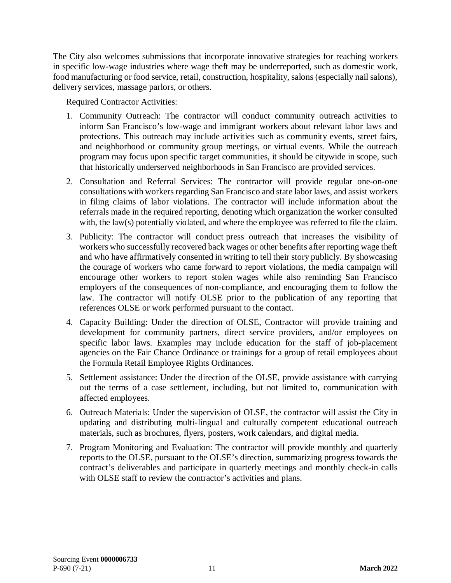The City also welcomes submissions that incorporate innovative strategies for reaching workers in specific low-wage industries where wage theft may be underreported, such as domestic work, food manufacturing or food service, retail, construction, hospitality, salons (especially nail salons), delivery services, massage parlors, or others.

Required Contractor Activities:

- 1. Community Outreach: The contractor will conduct community outreach activities to inform San Francisco's low-wage and immigrant workers about relevant labor laws and protections. This outreach may include activities such as community events, street fairs, and neighborhood or community group meetings, or virtual events. While the outreach program may focus upon specific target communities, it should be citywide in scope, such that historically underserved neighborhoods in San Francisco are provided services.
- 2. Consultation and Referral Services: The contractor will provide regular one-on-one consultations with workers regarding San Francisco and state labor laws, and assist workers in filing claims of labor violations. The contractor will include information about the referrals made in the required reporting, denoting which organization the worker consulted with, the law(s) potentially violated, and where the employee was referred to file the claim.
- 3. Publicity: The contractor will conduct press outreach that increases the visibility of workers who successfully recovered back wages or other benefits after reporting wage theft and who have affirmatively consented in writing to tell their story publicly. By showcasing the courage of workers who came forward to report violations, the media campaign will encourage other workers to report stolen wages while also reminding San Francisco employers of the consequences of non-compliance, and encouraging them to follow the law. The contractor will notify OLSE prior to the publication of any reporting that references OLSE or work performed pursuant to the contact.
- 4. Capacity Building: Under the direction of OLSE, Contractor will provide training and development for community partners, direct service providers, and/or employees on specific labor laws. Examples may include education for the staff of job-placement agencies on the Fair Chance Ordinance or trainings for a group of retail employees about the Formula Retail Employee Rights Ordinances.
- 5. Settlement assistance: Under the direction of the OLSE, provide assistance with carrying out the terms of a case settlement, including, but not limited to, communication with affected employees.
- 6. Outreach Materials: Under the supervision of OLSE, the contractor will assist the City in updating and distributing multi-lingual and culturally competent educational outreach materials, such as brochures, flyers, posters, work calendars, and digital media.
- 7. Program Monitoring and Evaluation: The contractor will provide monthly and quarterly reports to the OLSE, pursuant to the OLSE's direction, summarizing progress towards the contract's deliverables and participate in quarterly meetings and monthly check-in calls with OLSE staff to review the contractor's activities and plans.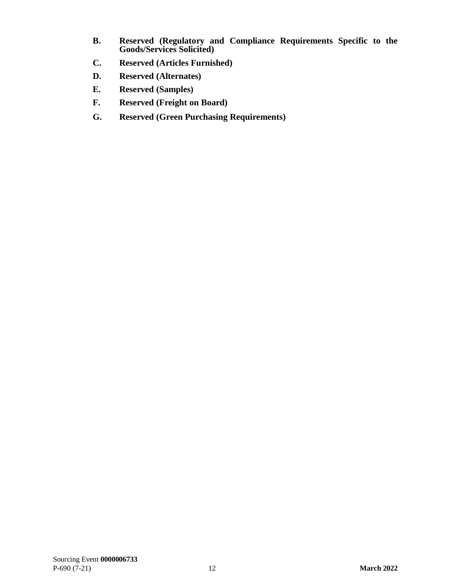- **B. Reserved (Regulatory and Compliance Requirements Specific to the Goods/Services Solicited)**
- <span id="page-16-0"></span>**C. Reserved (Articles Furnished)**
- **D. Reserved (Alternates)**
- **E. Reserved (Samples)**
- <span id="page-16-1"></span>**F. Reserved (Freight on Board)**
- <span id="page-16-2"></span>**G. Reserved (Green Purchasing Requirements)**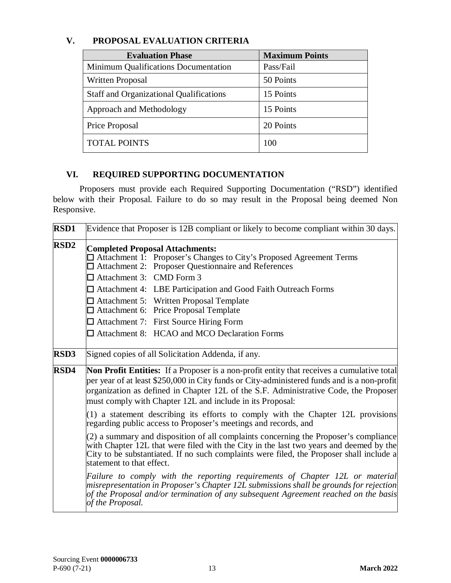<span id="page-17-0"></span>

|  | V. |  | PROPOSAL EVALUATION CRITERIA |  |
|--|----|--|------------------------------|--|
|--|----|--|------------------------------|--|

| <b>Evaluation Phase</b>                        | <b>Maximum Points</b> |
|------------------------------------------------|-----------------------|
| Minimum Qualifications Documentation           | Pass/Fail             |
| <b>Written Proposal</b>                        | 50 Points             |
| <b>Staff and Organizational Qualifications</b> | 15 Points             |
| Approach and Methodology                       | 15 Points             |
| Price Proposal                                 | 20 Points             |
| <b>TOTAL POINTS</b>                            | 100                   |

# <span id="page-17-1"></span>**VI. REQUIRED SUPPORTING DOCUMENTATION**

Proposers must provide each Required Supporting Documentation ("RSD") identified below with their Proposal. Failure to do so may result in the Proposal being deemed Non Responsive.

| <b>RSD1</b> | Evidence that Proposer is 12B compliant or likely to become compliant within 30 days.                                                                                                                                                                                                                                                                                                                                                                                                              |  |  |
|-------------|----------------------------------------------------------------------------------------------------------------------------------------------------------------------------------------------------------------------------------------------------------------------------------------------------------------------------------------------------------------------------------------------------------------------------------------------------------------------------------------------------|--|--|
| <b>RSD2</b> | <b>Completed Proposal Attachments:</b><br>□ Attachment 1: Proposer's Changes to City's Proposed Agreement Terms<br>$\Box$ Attachment 2: Proposer Questionnaire and References<br>$\Box$ Attachment 3: CMD Form 3<br>$\Box$ Attachment 4: LBE Participation and Good Faith Outreach Forms<br>$\Box$ Attachment 5: Written Proposal Template<br>$\Box$ Attachment 6: Price Proposal Template<br>$\Box$ Attachment 7: First Source Hiring Form<br>$\Box$ Attachment 8: HCAO and MCO Declaration Forms |  |  |
| <b>RSD3</b> | Signed copies of all Solicitation Addenda, if any.                                                                                                                                                                                                                                                                                                                                                                                                                                                 |  |  |
| <b>RSD4</b> | <b>Non Profit Entities:</b> If a Proposer is a non-profit entity that receives a cumulative total<br>per year of at least \$250,000 in City funds or City-administered funds and is a non-profit<br>organization as defined in Chapter 12L of the S.F. Administrative Code, the Proposer<br>must comply with Chapter 12L and include in its Proposal:                                                                                                                                              |  |  |
|             | $(1)$ a statement describing its efforts to comply with the Chapter 12L provisions<br>regarding public access to Proposer's meetings and records, and                                                                                                                                                                                                                                                                                                                                              |  |  |
|             | (2) a summary and disposition of all complaints concerning the Proposer's compliance<br>with Chapter 12L that were filed with the City in the last two years and deemed by the<br>City to be substantiated. If no such complaints were filed, the Proposer shall include a<br>statement to that effect.                                                                                                                                                                                            |  |  |
|             | Failure to comply with the reporting requirements of Chapter 12L or material<br>misrepresentation in Proposer's Chapter 12L submissions shall be grounds for rejection<br>of the Proposal and/or termination of any subsequent Agreement reached on the basis<br>of the Proposal.                                                                                                                                                                                                                  |  |  |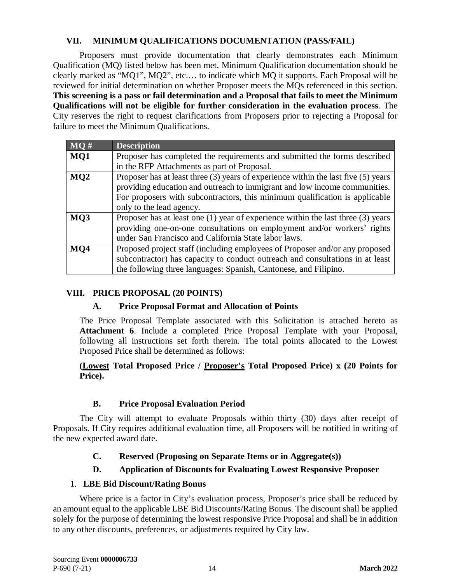### **VII. MINIMUM QUALIFICATIONS DOCUMENTATION (PASS/FAIL)**

<span id="page-18-0"></span>Proposers must provide documentation that clearly demonstrates each Minimum Qualification (MQ) listed below has been met. Minimum Qualification documentation should be clearly marked as "MQ1", MQ2", etc.… to indicate which MQ it supports. Each Proposal will be reviewed for initial determination on whether Proposer meets the MQs referenced in this section. **This screening is a pass or fail determination and a Proposal that fails to meet the Minimum Qualifications will not be eligible for further consideration in the evaluation process**. The City reserves the right to request clarifications from Proposers prior to rejecting a Proposal for failure to meet the Minimum Qualifications.

| MQ#             | <b>Description</b>                                                                     |  |
|-----------------|----------------------------------------------------------------------------------------|--|
| MQ1             | Proposer has completed the requirements and submitted the forms described              |  |
|                 | in the RFP Attachments as part of Proposal.                                            |  |
| MQ <sub>2</sub> | Proposer has at least three $(3)$ years of experience within the last five $(5)$ years |  |
|                 | providing education and outreach to immigrant and low income communities.              |  |
|                 | For proposers with subcontractors, this minimum qualification is applicable            |  |
|                 | only to the lead agency.                                                               |  |
| MQ3             | Proposer has at least one $(1)$ year of experience within the last three $(3)$ years   |  |
|                 | providing one-on-one consultations on employment and/or workers' rights                |  |
|                 | under San Francisco and California State labor laws.                                   |  |
| MO4             | Proposed project staff (including employees of Proposer and/or any proposed            |  |
|                 | subcontractor) has capacity to conduct outreach and consultations in at least          |  |
|                 | the following three languages: Spanish, Cantonese, and Filipino.                       |  |

# <span id="page-18-2"></span><span id="page-18-1"></span>**VIII. PRICE PROPOSAL (20 POINTS)**

# **A. Price Proposal Format and Allocation of Points**

The Price Proposal Template associated with this Solicitation is attached hereto as **Attachment 6**. Include a completed Price Proposal Template with your Proposal, following all instructions set forth therein. The total points allocated to the Lowest Proposed Price shall be determined as follows:

#### **(Lowest Total Proposed Price / Proposer's Total Proposed Price) x (20 Points for Price).**

# **B. Price Proposal Evaluation Period**

<span id="page-18-3"></span>The City will attempt to evaluate Proposals within thirty (30) days after receipt of Proposals. If City requires additional evaluation time, all Proposers will be notified in writing of the new expected award date.

# <span id="page-18-4"></span>**C. Reserved (Proposing on Separate Items or in Aggregate(s))**

# **D. Application of Discounts for Evaluating Lowest Responsive Proposer**

# <span id="page-18-5"></span>1. **LBE Bid Discount/Rating Bonus**

Where price is a factor in City's evaluation process, Proposer's price shall be reduced by an amount equal to the applicable LBE Bid Discounts/Rating Bonus. The discount shall be applied solely for the purpose of determining the lowest responsive Price Proposal and shall be in addition to any other discounts, preferences, or adjustments required by City law.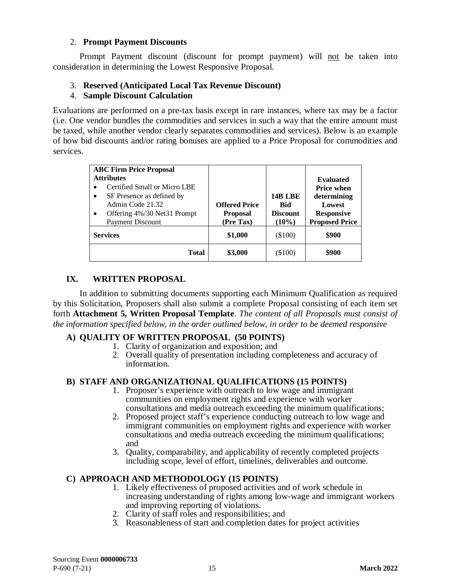#### 2. **Prompt Payment Discounts**

Prompt Payment discount (discount for prompt payment) will not be taken into consideration in determining the Lowest Responsive Proposal.

### 3. **Reserved (Anticipated Local Tax Revenue Discount)**

#### 4. **Sample Discount Calculation**

Evaluations are performed on a pre-tax basis except in rare instances, where tax may be a factor (i.e. One vendor bundles the commodities and services in such a way that the entire amount must be taxed, while another vendor clearly separates commodities and services). Below is an example of how bid discounts and/or rating bonuses are applied to a Price Proposal for commodities and services.

| <b>ABC Firm Price Proposal</b><br><b>Attributes</b><br>Certified Small or Micro LBE<br>$\bullet$<br>SF Presence as defined by<br>$\bullet$<br>Admin Code 21.32<br>Offering 4%/30 Net31 Prompt<br>$\bullet$<br><b>Payment Discount</b> | <b>Offered Price</b><br><b>Proposal</b><br>(Pre Tax) | <b>14B LBE</b><br><b>Bid</b><br><b>Discount</b><br>$(10\%)$ | <b>Evaluated</b><br><b>Price when</b><br>determining<br>Lowest<br><b>Responsive</b><br><b>Proposed Price</b> |
|---------------------------------------------------------------------------------------------------------------------------------------------------------------------------------------------------------------------------------------|------------------------------------------------------|-------------------------------------------------------------|--------------------------------------------------------------------------------------------------------------|
| <b>Services</b>                                                                                                                                                                                                                       | \$1,000                                              | $(\$100)$                                                   | \$900                                                                                                        |
| Total                                                                                                                                                                                                                                 | \$3,000                                              | (\$100)                                                     | \$900                                                                                                        |

### <span id="page-19-0"></span>**IX. WRITTEN PROPOSAL**

In addition to submitting documents supporting each Minimum Qualification as required by this Solicitation, Proposers shall also submit a complete Proposal consisting of each item set forth **Attachment 5, Written Proposal Template**. *The content of all Proposals must consist of the information specified below, in the order outlined below, in order to be deemed responsive*

#### **A) QUALITY OF WRITTEN PROPOSAL (50 POINTS)**

- 1. Clarity of organization and exposition; and
- 2. Overall quality of presentation including completeness and accuracy of information.

#### **B) STAFF AND ORGANIZATIONAL QUALIFICATIONS (15 POINTS)**

- 1. Proposer's experience with outreach to low wage and immigrant communities on employment rights and experience with worker consultations and media outreach exceeding the minimum qualifications;
- 2. Proposed project staff's experience conducting outreach to low wage and immigrant communities on employment rights and experience with worker consultations and media outreach exceeding the minimum qualifications; and
- 3. Quality, comparability, and applicability of recently completed projects including scope, level of effort, timelines, deliverables and outcome.

#### **C) APPROACH AND METHODOLOGY (15 POINTS)**

- 1. Likely effectiveness of proposed activities and of work schedule in increasing understanding of rights among low-wage and immigrant workers and improving reporting of violations.
- 2. Clarity of staff roles and responsibilities; and
- 3. Reasonableness of start and completion dates for project activities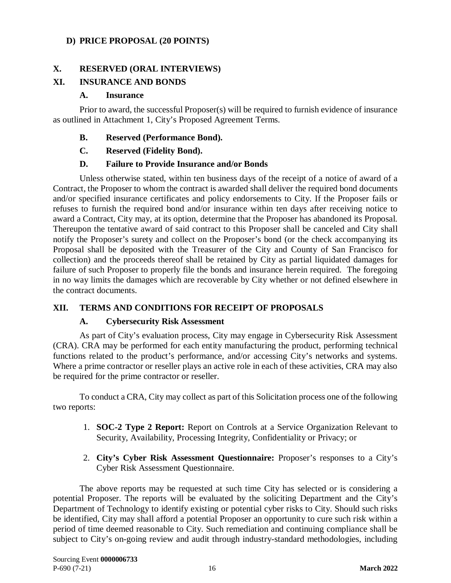#### **D) PRICE PROPOSAL (20 POINTS)**

#### **X. RESERVED (ORAL INTERVIEWS)**

### <span id="page-20-1"></span>**XI. INSURANCE AND BONDS**

#### <span id="page-20-0"></span>**A. Insurance**

Prior to award, the successful Proposer(s) will be required to furnish evidence of insurance as outlined in Attachment 1, City's Proposed Agreement Terms.

#### <span id="page-20-2"></span>**B. Reserved (Performance Bond).**

#### <span id="page-20-3"></span>**C. Reserved (Fidelity Bond).**

#### **D. Failure to Provide Insurance and/or Bonds**

<span id="page-20-4"></span>Unless otherwise stated, within ten business days of the receipt of a notice of award of a Contract, the Proposer to whom the contract is awarded shall deliver the required bond documents and/or specified insurance certificates and policy endorsements to City. If the Proposer fails or refuses to furnish the required bond and/or insurance within ten days after receiving notice to award a Contract, City may, at its option, determine that the Proposer has abandoned its Proposal. Thereupon the tentative award of said contract to this Proposer shall be canceled and City shall notify the Proposer's surety and collect on the Proposer's bond (or the check accompanying its Proposal shall be deposited with the Treasurer of the City and County of San Francisco for collection) and the proceeds thereof shall be retained by City as partial liquidated damages for failure of such Proposer to properly file the bonds and insurance herein required. The foregoing in no way limits the damages which are recoverable by City whether or not defined elsewhere in the contract documents.

#### <span id="page-20-6"></span><span id="page-20-5"></span>**XII. TERMS AND CONDITIONS FOR RECEIPT OF PROPOSALS**

#### **A. Cybersecurity Risk Assessment**

As part of City's evaluation process, City may engage in Cybersecurity Risk Assessment (CRA). CRA may be performed for each entity manufacturing the product, performing technical functions related to the product's performance, and/or accessing City's networks and systems. Where a prime contractor or reseller plays an active role in each of these activities, CRA may also be required for the prime contractor or reseller.

To conduct a CRA, City may collect as part of this Solicitation process one of the following two reports:

- 1. **SOC-2 Type 2 Report:** Report on Controls at a Service Organization Relevant to Security, Availability, Processing Integrity, Confidentiality or Privacy; or
- 2. **City's Cyber Risk Assessment Questionnaire:** Proposer's responses to a City's Cyber Risk Assessment Questionnaire.

The above reports may be requested at such time City has selected or is considering a potential Proposer. The reports will be evaluated by the soliciting Department and the City's Department of Technology to identify existing or potential cyber risks to City. Should such risks be identified, City may shall afford a potential Proposer an opportunity to cure such risk within a period of time deemed reasonable to City. Such remediation and continuing compliance shall be subject to City's on-going review and audit through industry-standard methodologies, including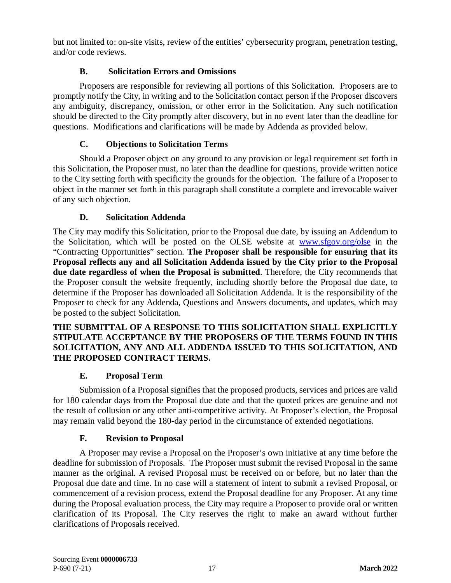but not limited to: on-site visits, review of the entities' cybersecurity program, penetration testing, and/or code reviews.

### **B. Solicitation Errors and Omissions**

Proposers are responsible for reviewing all portions of this Solicitation. Proposers are to promptly notify the City, in writing and to the Solicitation contact person if the Proposer discovers any ambiguity, discrepancy, omission, or other error in the Solicitation. Any such notification should be directed to the City promptly after discovery, but in no event later than the deadline for questions. Modifications and clarifications will be made by Addenda as provided below.

### **C. Objections to Solicitation Terms**

<span id="page-21-0"></span>Should a Proposer object on any ground to any provision or legal requirement set forth in this Solicitation, the Proposer must, no later than the deadline for questions, provide written notice to the City setting forth with specificity the grounds for the objection. The failure of a Proposer to object in the manner set forth in this paragraph shall constitute a complete and irrevocable waiver of any such objection.

# **D. Solicitation Addenda**

<span id="page-21-1"></span>The City may modify this Solicitation, prior to the Proposal due date, by issuing an Addendum to the Solicitation, which will be posted on the OLSE website at [www.sfgov.org/olse](http://www.sfgov.org/olse) in the "Contracting Opportunities" section. **The Proposer shall be responsible for ensuring that its Proposal reflects any and all Solicitation Addenda issued by the City prior to the Proposal due date regardless of when the Proposal is submitted**. Therefore, the City recommends that the Proposer consult the website frequently, including shortly before the Proposal due date, to determine if the Proposer has downloaded all Solicitation Addenda. It is the responsibility of the Proposer to check for any Addenda, Questions and Answers documents, and updates, which may be posted to the subject Solicitation.

#### **THE SUBMITTAL OF A RESPONSE TO THIS SOLICITATION SHALL EXPLICITLY STIPULATE ACCEPTANCE BY THE PROPOSERS OF THE TERMS FOUND IN THIS SOLICITATION, ANY AND ALL ADDENDA ISSUED TO THIS SOLICITATION, AND THE PROPOSED CONTRACT TERMS.**

#### **E. Proposal Term**

<span id="page-21-2"></span>Submission of a Proposalsignifies that the proposed products, services and prices are valid for 180 calendar days from the Proposal due date and that the quoted prices are genuine and not the result of collusion or any other anti-competitive activity. At Proposer's election, the Proposal may remain valid beyond the 180-day period in the circumstance of extended negotiations.

#### **F. Revision to Proposal**

<span id="page-21-3"></span>A Proposer may revise a Proposal on the Proposer's own initiative at any time before the deadline for submission of Proposals. The Proposer must submit the revised Proposal in the same manner as the original. A revised Proposal must be received on or before, but no later than the Proposal due date and time. In no case will a statement of intent to submit a revised Proposal, or commencement of a revision process, extend the Proposal deadline for any Proposer. At any time during the Proposal evaluation process, the City may require a Proposer to provide oral or written clarification of its Proposal. The City reserves the right to make an award without further clarifications of Proposals received.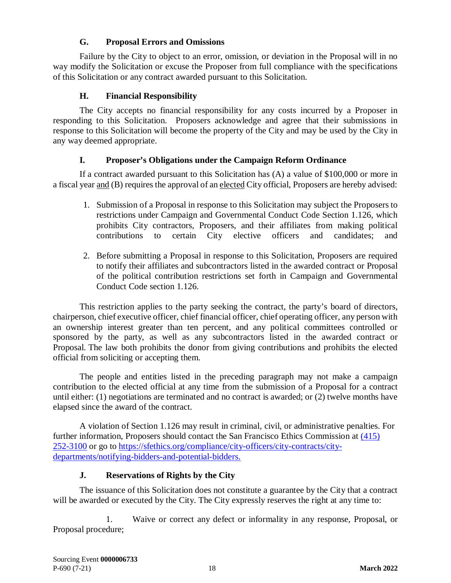### **G. Proposal Errors and Omissions**

<span id="page-22-0"></span>Failure by the City to object to an error, omission, or deviation in the Proposal will in no way modify the Solicitation or excuse the Proposer from full compliance with the specifications of this Solicitation or any contract awarded pursuant to this Solicitation.

# **H. Financial Responsibility**

<span id="page-22-1"></span>The City accepts no financial responsibility for any costs incurred by a Proposer in responding to this Solicitation. Proposers acknowledge and agree that their submissions in response to this Solicitation will become the property of the City and may be used by the City in any way deemed appropriate.

### **I. Proposer's Obligations under the Campaign Reform Ordinance**

<span id="page-22-2"></span>If a contract awarded pursuant to this Solicitation has (A) a value of \$100,000 or more in a fiscal year and (B) requires the approval of an elected City official, Proposers are hereby advised:

- 1. Submission of a Proposal in response to this Solicitation may subject the Proposers to restrictions under Campaign and Governmental Conduct Code Section 1.126, which prohibits City contractors, Proposers, and their affiliates from making political contributions to certain City elective officers and candidates; and
- 2. Before submitting a Proposal in response to this Solicitation, Proposers are required to notify their affiliates and subcontractors listed in the awarded contract or Proposal of the political contribution restrictions set forth in Campaign and Governmental Conduct Code section 1.126.

This restriction applies to the party seeking the contract, the party's board of directors, chairperson, chief executive officer, chief financial officer, chief operating officer, any person with an ownership interest greater than ten percent, and any political committees controlled or sponsored by the party, as well as any subcontractors listed in the awarded contract or Proposal. The law both prohibits the donor from giving contributions and prohibits the elected official from soliciting or accepting them.

The people and entities listed in the preceding paragraph may not make a campaign contribution to the elected official at any time from the submission of a Proposal for a contract until either: (1) negotiations are terminated and no contract is awarded; or (2) twelve months have elapsed since the award of the contract.

A violation of Section 1.126 may result in criminal, civil, or administrative penalties. For further information, Proposers should contact the San Francisco Ethics Commission at [\(415\)](tel:(415)%20252-3100)  [252-3100](tel:(415)%20252-3100) or go to [https://sfethics.org/compliance/city-officers/city-contracts/city](https://sfethics.org/compliance/city-officers/city-contracts/city-departments/notifying-bidders-and-potential-bidders)[departments/notifying-bidders-and-potential-bidders.](https://sfethics.org/compliance/city-officers/city-contracts/city-departments/notifying-bidders-and-potential-bidders)

#### **J. Reservations of Rights by the City**

<span id="page-22-3"></span>The issuance of this Solicitation does not constitute a guarantee by the City that a contract will be awarded or executed by the City. The City expressly reserves the right at any time to:

1. Waive or correct any defect or informality in any response, Proposal, or Proposal procedure;